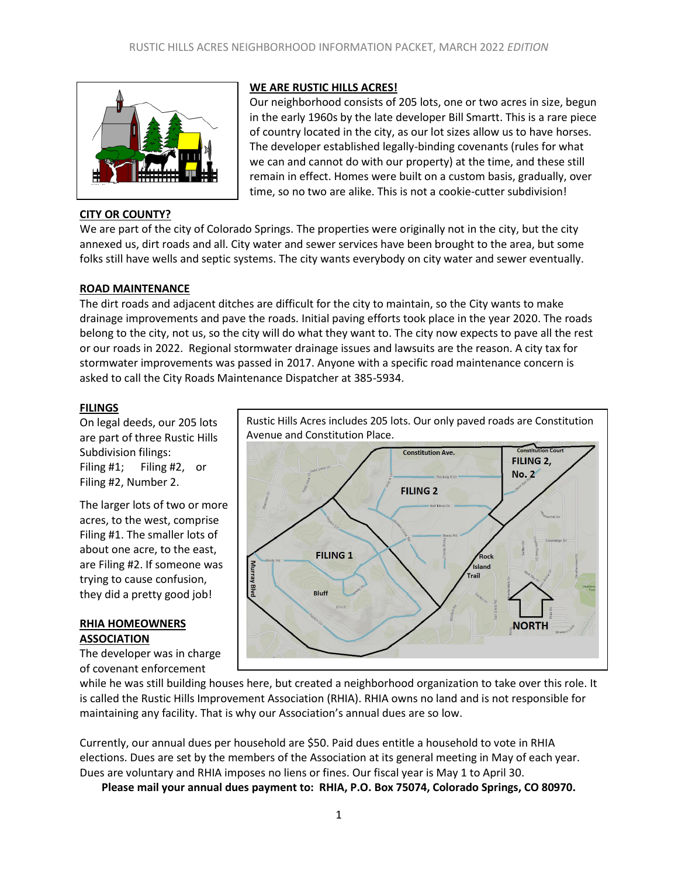

# **CITY OR COUNTY?**

# **WE ARE RUSTIC HILLS ACRES!**

Our neighborhood consists of 205 lots, one or two acres in size, begun in the early 1960s by the late developer Bill Smartt. This is a rare piece of country located in the city, as our lot sizes allow us to have horses. The developer established legally-binding covenants (rules for what we can and cannot do with our property) at the time, and these still remain in effect. Homes were built on a custom basis, gradually, over time, so no two are alike. This is not a cookie-cutter subdivision!

We are part of the city of Colorado Springs. The properties were originally not in the city, but the city annexed us, dirt roads and all. City water and sewer services have been brought to the area, but some folks still have wells and septic systems. The city wants everybody on city water and sewer eventually.

## **ROAD MAINTENANCE**

The dirt roads and adjacent ditches are difficult for the city to maintain, so the City wants to make drainage improvements and pave the roads. Initial paving efforts took place in the year 2020. The roads belong to the city, not us, so the city will do what they want to. The city now expects to pave all the rest or our roads in 2022. Regional stormwater drainage issues and lawsuits are the reason. A city tax for stormwater improvements was passed in 2017. Anyone with a specific road maintenance concern is asked to call the City Roads Maintenance Dispatcher at 385-5934.

## **FILINGS**

On legal deeds, our 205 lots are part of three Rustic Hills Subdivision filings: Filing #1; Filing #2, or Filing #2, Number 2.

The larger lots of two or more acres, to the west, comprise Filing #1. The smaller lots of about one acre, to the east, are Filing #2. If someone was trying to cause confusion, they did a pretty good job!

## **RHIA HOMEOWNERS ASSOCIATION**

The developer was in charge of covenant enforcement

Rustic Hills Acres includes 205 lots. Our only paved roads are Constitution Avenue and Constitution Place.



while he was still building houses here, but created a neighborhood organization to take over this role. It is called the Rustic Hills Improvement Association (RHIA). RHIA owns no land and is not responsible for maintaining any facility. That is why our Association's annual dues are so low.

Currently, our annual dues per household are \$50. Paid dues entitle a household to vote in RHIA elections. Dues are set by the members of the Association at its general meeting in May of each year. Dues are voluntary and RHIA imposes no liens or fines. Our fiscal year is May 1 to April 30.

**Please mail your annual dues payment to: RHIA, P.O. Box 75074, Colorado Springs, CO 80970.**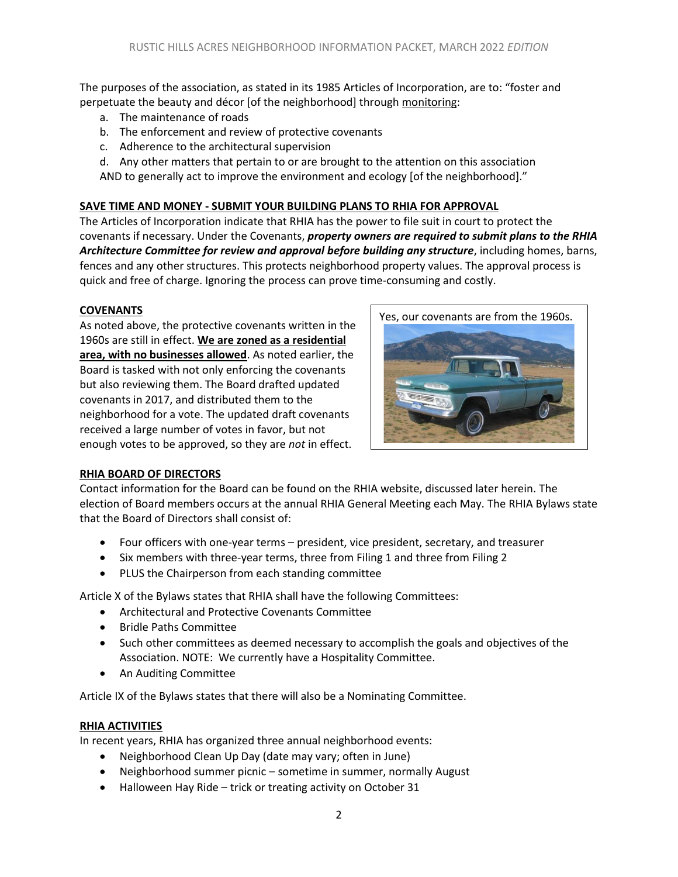The purposes of the association, as stated in its 1985 Articles of Incorporation, are to: "foster and perpetuate the beauty and décor [of the neighborhood] through monitoring:

- a. The maintenance of roads
- b. The enforcement and review of protective covenants
- c. Adherence to the architectural supervision

d. Any other matters that pertain to or are brought to the attention on this association AND to generally act to improve the environment and ecology [of the neighborhood]."

### **SAVE TIME AND MONEY - SUBMIT YOUR BUILDING PLANS TO RHIA FOR APPROVAL**

The Articles of Incorporation indicate that RHIA has the power to file suit in court to protect the covenants if necessary. Under the Covenants, *property owners are required to submit plans to the RHIA Architecture Committee for review and approval before building any structure*, including homes, barns, fences and any other structures. This protects neighborhood property values. The approval process is quick and free of charge. Ignoring the process can prove time-consuming and costly.

### **COVENANTS**

As noted above, the protective covenants written in the 1960s are still in effect. **We are zoned as a residential area, with no businesses allowed**. As noted earlier, the Board is tasked with not only enforcing the covenants but also reviewing them. The Board drafted updated covenants in 2017, and distributed them to the neighborhood for a vote. The updated draft covenants received a large number of votes in favor, but not enough votes to be approved, so they are *not* in effect.



### **RHIA BOARD OF DIRECTORS**

Contact information for the Board can be found on the RHIA website, discussed later herein. The election of Board members occurs at the annual RHIA General Meeting each May. The RHIA Bylaws state that the Board of Directors shall consist of:

- Four officers with one-year terms president, vice president, secretary, and treasurer
- Six members with three-year terms, three from Filing 1 and three from Filing 2
- PLUS the Chairperson from each standing committee

Article X of the Bylaws states that RHIA shall have the following Committees:

- Architectural and Protective Covenants Committee
- Bridle Paths Committee
- Such other committees as deemed necessary to accomplish the goals and objectives of the Association. NOTE: We currently have a Hospitality Committee.
- An Auditing Committee

Article IX of the Bylaws states that there will also be a Nominating Committee.

### **RHIA ACTIVITIES**

In recent years, RHIA has organized three annual neighborhood events:

- Neighborhood Clean Up Day (date may vary; often in June)
- Neighborhood summer picnic sometime in summer, normally August
- Halloween Hay Ride trick or treating activity on October 31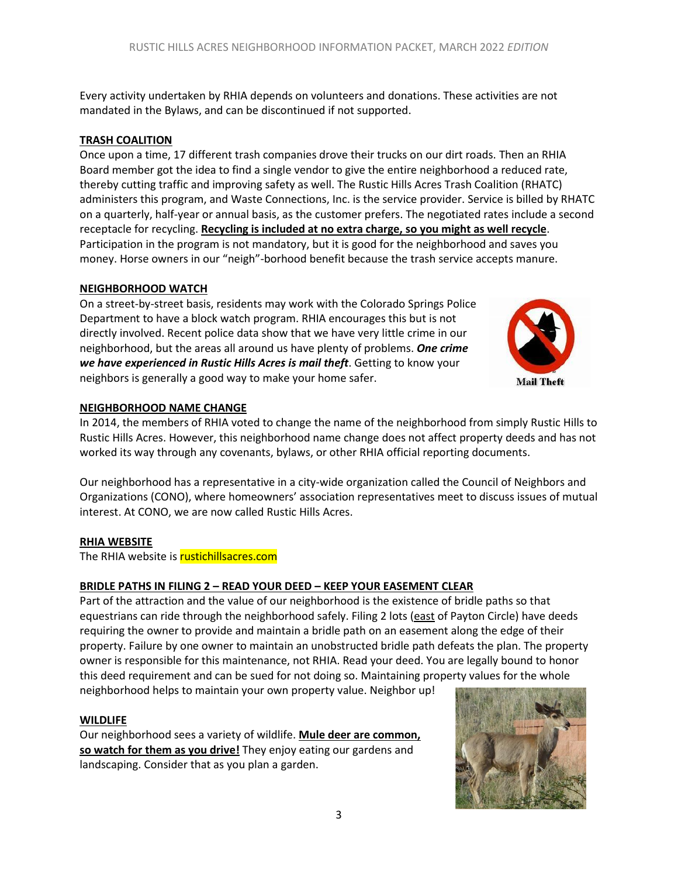Every activity undertaken by RHIA depends on volunteers and donations. These activities are not mandated in the Bylaws, and can be discontinued if not supported.

# **TRASH COALITION**

Once upon a time, 17 different trash companies drove their trucks on our dirt roads. Then an RHIA Board member got the idea to find a single vendor to give the entire neighborhood a reduced rate, thereby cutting traffic and improving safety as well. The Rustic Hills Acres Trash Coalition (RHATC) administers this program, and Waste Connections, Inc. is the service provider. Service is billed by RHATC on a quarterly, half-year or annual basis, as the customer prefers. The negotiated rates include a second receptacle for recycling. **Recycling is included at no extra charge, so you might as well recycle**. Participation in the program is not mandatory, but it is good for the neighborhood and saves you money. Horse owners in our "neigh"-borhood benefit because the trash service accepts manure.

# **NEIGHBORHOOD WATCH**

On a street-by-street basis, residents may work with the Colorado Springs Police Department to have a block watch program. RHIA encourages this but is not directly involved. Recent police data show that we have very little crime in our neighborhood, but the areas all around us have plenty of problems. *One crime we have experienced in Rustic Hills Acres is mail theft*. Getting to know your neighbors is generally a good way to make your home safer.



# **NEIGHBORHOOD NAME CHANGE**

In 2014, the members of RHIA voted to change the name of the neighborhood from simply Rustic Hills to Rustic Hills Acres. However, this neighborhood name change does not affect property deeds and has not worked its way through any covenants, bylaws, or other RHIA official reporting documents.

Our neighborhood has a representative in a city-wide organization called the Council of Neighbors and Organizations (CONO), where homeowners' association representatives meet to discuss issues of mutual interest. At CONO, we are now called Rustic Hills Acres.

# **RHIA WEBSITE**

The RHIA website is rustichillsacres.com

# **BRIDLE PATHS IN FILING 2 – READ YOUR DEED – KEEP YOUR EASEMENT CLEAR**

Part of the attraction and the value of our neighborhood is the existence of bridle paths so that equestrians can ride through the neighborhood safely. Filing 2 lots (east of Payton Circle) have deeds requiring the owner to provide and maintain a bridle path on an easement along the edge of their property. Failure by one owner to maintain an unobstructed bridle path defeats the plan. The property owner is responsible for this maintenance, not RHIA. Read your deed. You are legally bound to honor this deed requirement and can be sued for not doing so. Maintaining property values for the whole neighborhood helps to maintain your own property value. Neighbor up!

# **WILDLIFE**

Our neighborhood sees a variety of wildlife. **Mule deer are common, so watch for them as you drive!** They enjoy eating our gardens and landscaping. Consider that as you plan a garden.